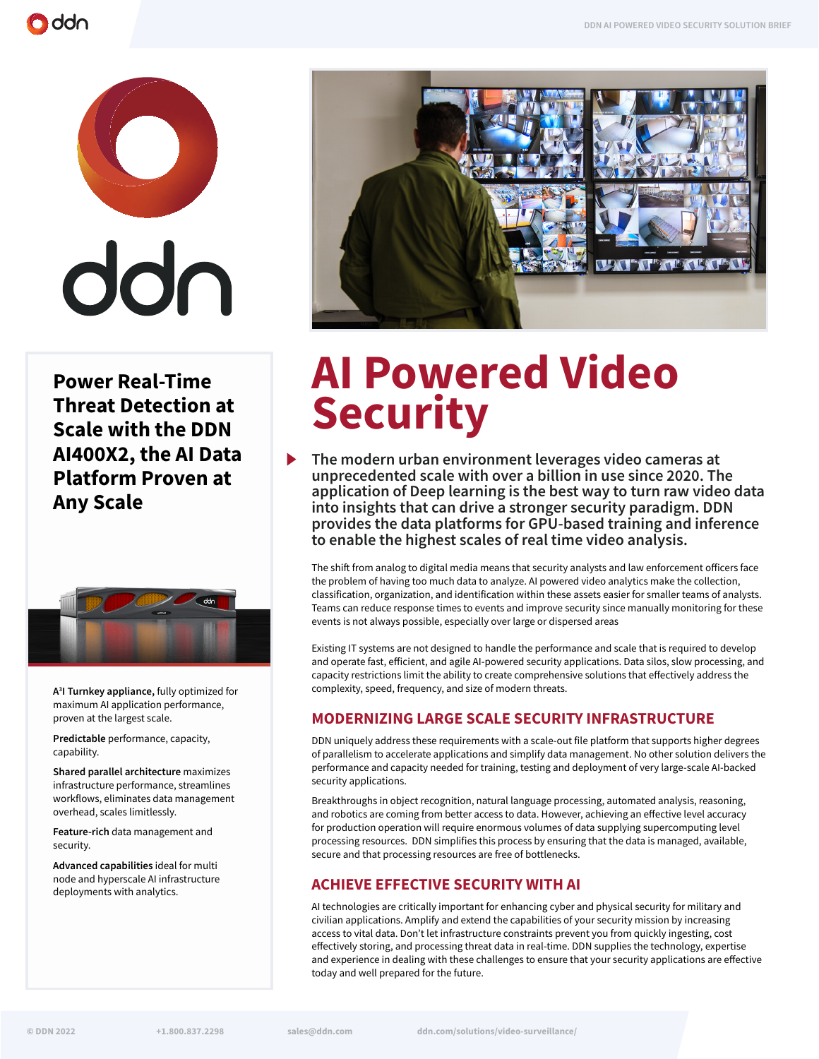



**Power Real-Time Threat Detection at Scale with the DDN AI400X2, the AI Data Platform Proven at Any Scale**



**A3 I Turnkey appliance,** fully optimized for maximum AI application performance, proven at the largest scale.

**Predictable** performance, capacity, capability.

**Shared parallel architecture** maximizes infrastructure performance, streamlines workflows, eliminates data management overhead, scales limitlessly.

**Feature-rich** data management and security.

**Advanced capabilities** ideal for multi node and hyperscale AI infrastructure deployments with analytics.



# **AI Powered Video Security**

**The modern urban environment leverages video cameras at unprecedented scale with over a billion in use since 2020. The application of Deep learning is the best way to turn raw video data into insights that can drive a stronger security paradigm. DDN provides the data platforms for GPU-based training and inference to enable the highest scales of real time video analysis.** 

The shift from analog to digital media means that security analysts and law enforcement officers face the problem of having too much data to analyze. AI powered video analytics make the collection, classification, organization, and identification within these assets easier for smaller teams of analysts. Teams can reduce response times to events and improve security since manually monitoring for these events is not always possible, especially over large or dispersed areas

Existing IT systems are not designed to handle the performance and scale that is required to develop and operate fast, efficient, and agile AI-powered security applications. Data silos, slow processing, and capacity restrictions limit the ability to create comprehensive solutions that effectively address the complexity, speed, frequency, and size of modern threats.

### **MODERNIZING LARGE SCALE SECURITY INFRASTRUCTURE**

DDN uniquely address these requirements with a scale-out file platform that supports higher degrees of parallelism to accelerate applications and simplify data management. No other solution delivers the performance and capacity needed for training, testing and deployment of very large-scale AI-backed security applications.

Breakthroughs in object recognition, natural language processing, automated analysis, reasoning, and robotics are coming from better access to data. However, achieving an effective level accuracy for production operation will require enormous volumes of data supplying supercomputing level processing resources. DDN simplifies this process by ensuring that the data is managed, available, secure and that processing resources are free of bottlenecks.

## **ACHIEVE EFFECTIVE SECURITY WITH AI**

AI technologies are critically important for enhancing cyber and physical security for military and civilian applications. Amplify and extend the capabilities of your security mission by increasing access to vital data. Don't let infrastructure constraints prevent you from quickly ingesting, cost effectively storing, and processing threat data in real-time. DDN supplies the technology, expertise and experience in dealing with these challenges to ensure that your security applications are effective today and well prepared for the future.